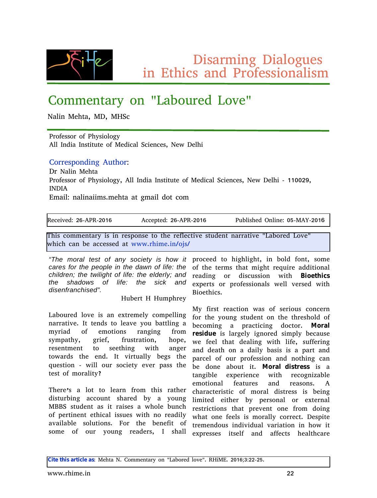$Z$ •‰ $\hat{y}$  $f$  •,,  $Z$   $\infty$ w, ..}.  $\langle \ \frac{9}{60}$ •, [ S-•y%dv, z f ^... {%o., w. •%fo

# $Y.$   $f$   $f$   $\{$  ,  $\mathbf{\widehat{S}}\widehat{\mathbf{w}}\bullet$  ..., ' bwx...^  $\{$  z b... $\mathbf{Q}\mathbf{\widehat{E}}\}$ '

d w•, c  $\left\{\sim \Im \omega \right\}$  c Z5 c ^ i y

f  $\hat{ }$ .  $\hat{ }$   $\hat{ }$   $\hat{ }$   $\hat{ }$   $\hat{ }$   $\hat{ }$   $\hat{ }$   $\hat{ }$   $\hat{ }$   $\hat{ }$   $\hat{ }$   $\hat{ }$   $\hat{ }$   $\hat{ }$   $\hat{ }$   $\hat{ }$   $\hat{ }$   $\hat{ }$   $\hat{ }$   $\hat{ }$   $\hat{ }$   $\hat{ }$   $\hat{ }$   $\hat{ }$   $\hat{ }$   $\hat{ }$   $\hat{ }$   $\hat{ }$   $\hat{ }$   $\hat{ }$   $W_1$ ,  $\frac{1}{2}$  z•w  $\frac{1}{2}$  % $\frac{3}{2}$   $\frac{3}{2}$   $\frac{3}{2}$  .  $\frac{1}{2}$  c { z•yw, i y•{  $\frac{1}{2}$  y{ % a d {• Z{, ~•

 $Y...^{\circ}$ {% $\phi_{0...y}$ , z•, } W Š. ...  $Z^{\hat{}}$  d w•, c  $\left\{ \sim \tilde{S}_V \right\}$ 

f ^..|{‱^. ..| f ~•‰.,...} • 5 W, \_, z•w \_, ‰ŠŠ Š{ ..| c {z•yw, i y•{,, y{%5 d {• Z{,~• 6 <<: : >L5 \_d Z\_W

 $\int f$  w•, N<sub>u</sub>, w• $\int \sqrt{df} \left\{ \sim \tilde{S}w \right. \wedge \tilde{S} \right\} f$  w•, z.  $\tilde{S}y$ . f

 $|h\{y\}$  • O EzN>F6Wf h6b: <F Wyy{†Š{ zN>F6Wf h6b: <F f ‹x,•‰{z e,,,•,, {N: D6c Wo 6b: <F j ~•‰y..ƒƒ{"Šw^•–‰•,, ^{%p..,,%o Š..Š{^{|,{yŠŒ{%Šz{"Š.,w^^wŠŒ{'bwx..^{z b..Œ{'

 $\sim$  yw, x{ wyy{%%  $\sim$  wS • • 7 $\sim$  of {7, 8.  $\approx$  6%

rWkh prudowhvwridq| vrflhw| lv krz lw †^..y{{z Š..~∙}~,∙}~Š5 •,, x..,.z |..,,Š5 ‰of{ fduhviru.wk.hshrsohlq.wk.hgdzqriolih=wk.h ..إ.Š-{Š(̃f‰Š~wŠƒ•}~Šˆ{‡‹•̂{wzz•Š•…,,w, fkloguhq>wkh wzloljkwriolih=wkh hoghuo|>dqg ^{wz∙,,} …^ z∙‰y‹‱!.,, •∙Š⊱ Cjpfuijdt wkh vkdgrzv ri olih= wkh vlfn dqg glvhqiudqf klvhgs1  $\wedge$   $\langle x \rangle$  ^ Š $\wedge$   $\wedge$   $\langle f + \sim \rangle$  (•

bwx..(^{z ,..Q{ •‰w, { $\check{Z}\check{S}$ { $f$ {,• y.. $f$   $\uparrow$ {,,•,} " wˆw**ŠŒ**7 \_Š Š(,, z‰Š…,{ wŒ ●…← xwŠŠ∙,, } w  $f \bullet \texttt{\degree\circ\textsf{W}}\mathbb{Z}$  ...,  $\{f \cdot \check{\mathbf{S}}_{\cdot\cdot\cdot\mathsf{N}},\mathcal{C}_{00} \circ \hat{\mathbf{V}}_{\mathsf{N},\cdot\cdot}\} \bullet$ ,  $\}$  |^..f ‰ †wŠ•5 }^•{|5 |^≀%ŠwŠ."5 ~…†{5  $\widetilde{\gamma}(A_{0}, \check{S}_{1}), \check{S}_{2}, \check{S}_{3}, \check{S}_{4}, \check{S}_{5}, \check{S}_{6}, \check{S}_{7}, \check{S}_{8}, \check{S}_{9}, \check{S}_{1}, \check{S}_{1}, \check{S}_{2}, \check{S}_{1}, \check{S}_{2}, \check{S}_{3}, \check{S}_{4}, \check{S}_{5}, \check{S}_{6}, \check{S}_{7}, \check{S}_{8}, \check{S}_{9}, \check{S}_{1}, \check{S}_{1}, \check{S}_{2}, \check{S}_{1}, \check{S}_{2}, \check{S}_{1}, \check{S}_{2}, \check{S}_{1}, \check{S}_{2$  $\check{S}$ .•  $\hat{w}z\%$   $\check{S}$  {  $\{ , z7 \leq \check{S} \times \check{S} \times \check{S} \times \check{S} \}$   $\times$  {  $\}$  %  $\check{S}$  { ‡‹{%∯..,, 6 ••,, ..‹^ ‰y•{Š•{Œ{^ †w‰Š~{  $\check{S}$ % $\check{S}$ … $f \hat{w}$ % $\check{S}$  T

 $j$  ~{^{"‰ w ,..Š Š.. ,{ $w^2$ ,, |^.. $f$  Š•‰^wŠ-{^  $Z^{\bullet}\times\hat{\mathbf{S}}$  ^x•, } wyy...., Š ‰ $w^{2}$ { z x• w •..., } c XXi % $\mathcal{S}$  z{,, Š w‰•Š ˆw•‰‰w • ~..,{ x $\cdot$ ,, y~ …| †{^Š,, {,, Š {Š•yw, •‰{‰• •Š~,, …^{wz•,•  $WCEW$ •,  $WX$ ,  $\{ \emptyset_{0}$ ,  $\langle \mathcal{S} \cdot \dots \rangle$   $\mathcal{S}$   $\setminus \dots \subseteq \mathcal{S}$   $\{ \times \{ \dots \} \mid \mathcal{S} \dots \}$ 

{ކ{^Љ…̂ †^…|{%‰…, w‰• {,, Œ^%¤z ••Š~ X•…{ Š~•y‰7

%of{ …| …´^ •…´"} ^{wz{^%5 \_ %ow, {ކ^{%66‰ •Š%6| w,z w||{yŠ%o ~{w,Š~yw^{ c •  $| \cdot \hat{\infty} \cdot \{ wy\hat{\mathbf{S}}_{\cdot, \cdot, \cdot} \cdot \hat{\mathbf{W}}_{\cdot, \cdot, \cdot} | \cdot \mathcal{W}_{\cdot, \cdot, \cdot} \cdot \hat{\mathbf{W}}_{\cdot, \cdot, \cdot} \cdot \hat{\mathbf{W}}_{\cdot, \cdot, \cdot} \cdot \hat{\mathbf{W}}_{\cdot, \cdot, \cdot} \}$  $|\hat{...}\hat{S}\{ \bullet ...\} \rangle$  % $\hat{8}z\{ \tilde{S}...\hat{S}\}$   $\hat{S}\hat{S}\hat{S}\hat{S}\hat{S}$  $x\{y. f \bullet_{n}\}$  w  $\uparrow$  wys  $y \bullet_{n}$  z. y S . 7 N psbm sf t jevf  $\bullet\%$ <sub>0</sub>, ŵ} {, $\bullet\bullet$ },, ..^{ z %of  $\dagger$ , $\bullet\ \times$  { yw % { o • {  $|\{\{\},\ \text{~\&~v\&~z\{w\}_n\}\ \bullet\}_{\sim} \$  , $|\{5 \ \%_{0} | \{\{\text{~\&\,,\}\}\}$  $w, z \, z \{ w \simeq ...$  w zw•,  $\bullet \, x \, w \, \text{two} \, \text{two} \, \text{two} \, \text{two} \, \text{two} \, \text{two} \, \text{two} \, \text{two} \, \text{two} \, \text{two} \, \text{two} \, \text{two} \, \text{two} \, \text{two} \, \text{two} \, \text{two} \, \text{two} \, \text{two} \, \text{two} \, \text{two} \, \text{two} \, \text{two} \, \text{two} \, \text{two} \, \text{two} \, \text{two} \, \text{two$  $\dagger$ ŵy{, .. $|$  .. $\hat{ }$   $\uparrow$   $\hat{ }$  ... $|$ {%‰,, w, z , ... Š•, } yw, x{ z…, { wx... \ Ś •Š7 N psbmejt usftt •‰ w  $\mathbf{\check{S}}_{\mathsf{V},\cdot}$   $\mathsf{V},\{-\infty\}$  {  $\mathsf{Z}^{\mathsf{L}}\{\hat{\ }^{\bullet}\{,\cdot\}\}$   $\mathsf{V}\leftarrow\mathsf{V}\leftarrow\mathsf{V}\leftarrow\mathsf{V}\leftarrow\mathsf{V}\leftarrow\mathsf{V}\leftarrow\mathsf{V}\leftarrow\mathsf{V}\leftarrow\mathsf{V}\leftarrow\mathsf{V}\leftarrow\mathsf{V}\leftarrow\mathsf{V}\leftarrow\mathsf{V}\leftarrow\mathsf{V}\leftarrow\mathsf{V}\leftarrow\mathsf{V}\leftarrow\mathsf{V}\leftarrow\mathsf{V}\leftarrow\mathsf{V}\$  ${f : S_{\cdot}N_{\cdot}}$  w  $|{w\& \hat{\cdot}}{\& \infty}$  w, z  $\hat{\cdot}$  { w%.  $\%$  W  $y \sim w$ ^wyŠ´•‰y ...  $f \dots w$  z•‰{‰ •‰ x{ • ,} '•ƒ •Š{ z { •Š~{ ˆ x• †{ ˆ‰…" w' …ˆ { ŽŠ{ ˆ" w'  $\hat{\mathcal{C}}$ {%ЕyŠ.",‰Š~wŠ † $\hat{\mathcal{C}}$ (Ę"Š."{ |^.. $f$  z..,,} • ~wŠ ..,, { |{{,‰‰f …̂w,.• y…̂^{yŠr Z{‰†•Š{  $\check{S}\lbrace f\lbrace , , z.. \rbrace \text{--}^{\bullet}, z \blacktriangleright \text{--}^{\bullet}$  ,  $Z \blacktriangleright \text{--}^{\bullet}$  ,  $W \subset \check{S}$  ...  $\bullet$  ,  $Z \rightarrow \check{S}$ 

Djuf ui jt bsujdmf bt Nc  $\left\{\sim\frac{\dot{S}_V d7 Y..f f}{s}$ ,  $\dot{S}_V \bullet \ldots$ , 'bwx... $\left\{z \ldots Q_k\right\}$  7 h^  $\bullet$ c  $\left[7 \gg \cdot \frac{\dot{C}_V d}{s} \right]$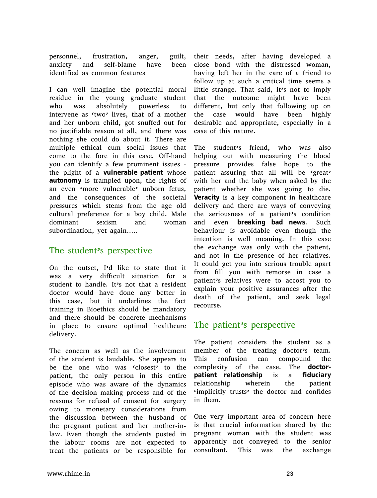personnel, frustration, anger, guilt, anxiety and self-blame have been identified as common features

I can well imagine the potential moral residue in the young graduate student who was absolutely powerless to intervene as 'two' lives, that of a mother and her unborn child, got snuffed out for no justifiable reason at all, and there was nothing she could do about it. There are multiple ethical cum social issues that come to the fore in this case. Off-hand you can identify a few prominent issues the plight of a **vulnerable patient** whose **autonomy** is trampled upon, the rights of an even 'more vulnerable' unborn fetus, and the consequences of the societal pressures which stems from the age old cultural preference for a boy child. Male dominant sexism and woman subordination, yet again…..

#### The student's perspective

On the outset, I'd like to state that it was a very difficult situation for a student to handle. It's not that a resident doctor would have done any better in this case, but it underlines the fact training in Bioethics should be mandatory and there should be concrete mechanisms in place to ensure optimal healthcare delivery.

The concern as well as the involvement of the student is laudable. She appears to be the one who was 'closest' to the patient, the only person in this entire episode who was aware of the dynamics of the decision making process and of the reasons for refusal of consent for surgery owing to monetary considerations from the discussion between the husband of the pregnant patient and her mother-inlaw. Even though the students posted in the labour rooms are not expected to treat the patients or be responsible for

their needs, after having developed a close bond with the distressed woman, having left her in the care of a friend to follow up at such a critical time seems a little strange. That said, it's not to imply that the outcome might have been different, but only that following up on the case would have been highly desirable and appropriate, especially in a case of this nature.

The student's friend, who was also helping out with measuring the blood pressure provides false hope to the patient assuring that all will be 'great' with her and the baby when asked by the patient whether she was going to die. **Veracity** is a key component in healthcare delivery and there are ways of conveying the seriousness of a patient's condition and even **breaking bad news**. Such behaviour is avoidable even though the intention is well meaning. In this case the exchange was only with the patient, and not in the presence of her relatives. It could get you into serious trouble apart from fill you with remorse in case a patient's relatives were to accost you to explain your positive assurances after the death of the patient, and seek legal recourse.

## The patient's perspective

The patient considers the student as a member of the treating doctor's team. This confusion can compound the complexity of the case. The **doctorpatient relationship** is a **fiduciary** relationship wherein the patient 'implicitly trusts' the doctor and confides in them.

One very important area of concern here is that crucial information shared by the pregnant woman with the student was apparently not conveyed to the senior consultant. This was the exchange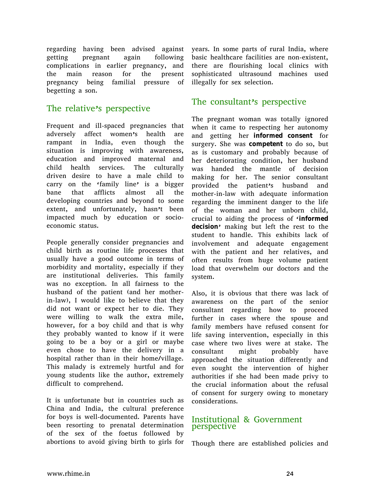regarding having been advised against getting pregnant again following complications in earlier pregnancy, and the main reason for the present pregnancy being familial pressure of begetting a son.

## The relative's perspective

Frequent and ill-spaced pregnancies that adversely affect women's health are rampant in India, even though the situation is improving with awareness, education and improved maternal and child health services. The culturally driven desire to have a male child to carry on the 'family line' is a bigger bane that afflicts almost all the developing countries and beyond to some extent, and unfortunately, hasn't been impacted much by education or socioeconomic status.

People generally consider pregnancies and child birth as routine life processes that usually have a good outcome in terms of morbidity and mortality, especially if they are institutional deliveries. This family was no exception. In all fairness to the husband of the patient (and her motherin-law), I would like to believe that they did not want or expect her to die. They were willing to walk the extra mile, however, for a boy child and that is why they probably wanted to know if it were going to be a boy or a girl or maybe even chose to have the delivery in a hospital rather than in their home/village. This malady is extremely hurtful and for young students like the author, extremely difficult to comprehend.

It is unfortunate but in countries such as China and India, the cultural preference for boys is well-documented. Parents have been resorting to prenatal determination of the sex of the foetus followed by abortions to avoid giving birth to girls for

years. In some parts of rural India, where basic healthcare facilities are non-existent, there are flourishing local clinics with sophisticated ultrasound machines used illegally for sex selection.

## The consultant's perspective

The pregnant woman was totally ignored when it came to respecting her autonomy and getting her **informed consent** for surgery. She was **competent** to do so, but as is customary and probably because of her deteriorating condition, her husband was handed the mantle of decision making for her. The senior consultant provided the patient's husband and mother-in-law with adequate information regarding the imminent danger to the life of the woman and her unborn child, crucial to aiding the process of '**informed decision**' making but left the rest to the student to handle. This exhibits lack of involvement and adequate engagement with the patient and her relatives, and often results from huge volume patient load that overwhelm our doctors and the system.

Also, it is obvious that there was lack of awareness on the part of the senior consultant regarding how to proceed further in cases where the spouse and family members have refused consent for life saving intervention, especially in this case where two lives were at stake. The consultant might probably have approached the situation differently and even sought the intervention of higher authorities if she had been made privy to the crucial information about the refusal of consent for surgery owing to monetary considerations.

#### Institutional & Government perspective

Though there are established policies and